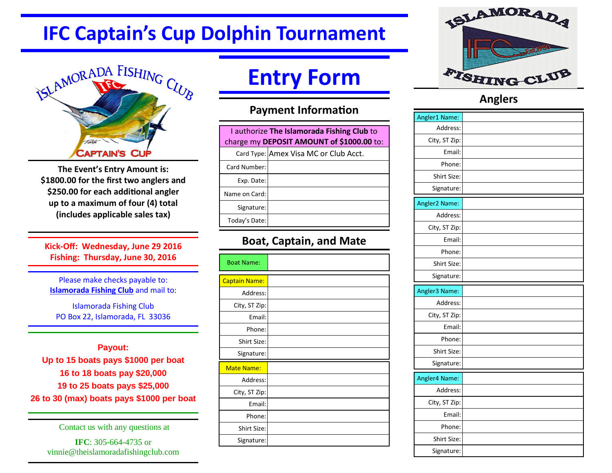# **IFC Captain's Cup Dolphin Tournament**



**The Event's Entry Amount is: \$1800.00 for the first two anglers and** \$250.00 for each additional angler **up to a maximum of four (4) total (includes applicable sales tax)** 

**Kick-Off: Wednesday, June 29 2016 Fishing: Thursday, June 30, 2016** 

Please make checks payable to: **Islamorada Fishing Club and mail to:** 

Islamorada Fishing Club PO Box 22, Islamorada, FL 33036

**Payout: Up to 15 boats pays \$1000 per boat 16 to 18 boats pay \$20,000 19 to 25 boats pays \$25,000 26 to 30 (max) boats pays \$1000 per boat** 

Contact us with any questions at

**IFC**: 305-664-4735 or vinnie@theislamoradafishingclub.com

# **Entry Form**

#### **Payment Information**

| I authorize The Islamorada Fishing Club to<br>charge my DEPOSIT AMOUNT of \$1000.00 to: |  |  |
|-----------------------------------------------------------------------------------------|--|--|
|                                                                                         |  |  |
|                                                                                         |  |  |
|                                                                                         |  |  |
|                                                                                         |  |  |
|                                                                                         |  |  |
|                                                                                         |  |  |
|                                                                                         |  |  |

### **Boat, Captain, and Mate**

| <b>Boat Name:</b>    |  |
|----------------------|--|
| <b>Captain Name:</b> |  |
| Address:             |  |
| City, ST Zip:        |  |
| Email:               |  |
| Phone:               |  |
| Shirt Size:          |  |
| Signature:           |  |
| <b>Mate Name:</b>    |  |
| Address:             |  |
| City, ST Zip:        |  |
| Email:               |  |
| Phone:               |  |
| Shirt Size:          |  |
| Signature:           |  |



#### **Anglers**

| Angler1 Name: |  |
|---------------|--|
| Address:      |  |
| City, ST Zip: |  |
| Email:        |  |
| Phone:        |  |
| Shirt Size:   |  |
| Signature:    |  |
| Angler2 Name: |  |
| Address:      |  |
| City, ST Zip: |  |
| Email:        |  |
| Phone:        |  |
| Shirt Size:   |  |
| Signature:    |  |
|               |  |
| Angler3 Name: |  |
| Address:      |  |
| City, ST Zip: |  |
| Email:        |  |
| Phone:        |  |
| Shirt Size:   |  |
| Signature:    |  |
| Angler4 Name: |  |
| Address:      |  |
| City, ST Zip: |  |
| Email:        |  |
| Phone:        |  |
| Shirt Size:   |  |